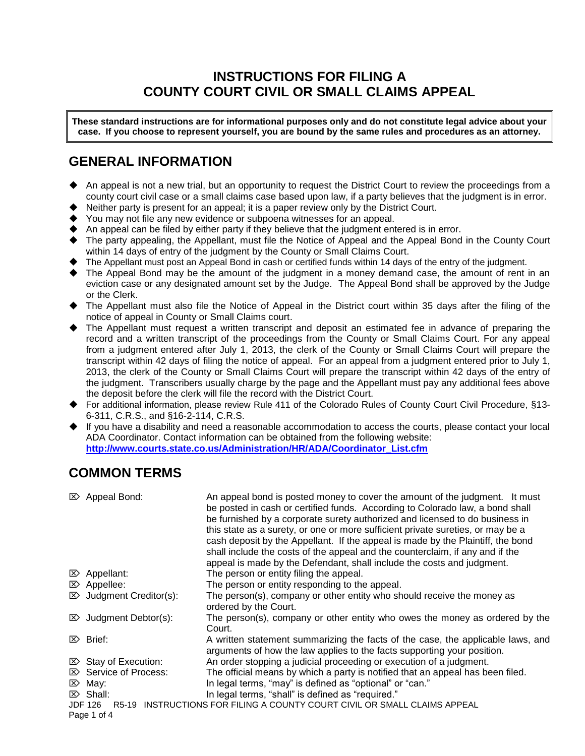# **INSTRUCTIONS FOR FILING A COUNTY COURT CIVIL OR SMALL CLAIMS APPEAL**

**These standard instructions are for informational purposes only and do not constitute legal advice about your case. If you choose to represent yourself, you are bound by the same rules and procedures as an attorney.**

# **GENERAL INFORMATION**

- ◆ An appeal is not a new trial, but an opportunity to request the District Court to review the proceedings from a county court civil case or a small claims case based upon law, if a party believes that the judgment is in error.
- ◆ Neither party is present for an appeal; it is a paper review only by the District Court.
- You may not file any new evidence or subpoena witnesses for an appeal.
- ◆ An appeal can be filed by either party if they believe that the judgment entered is in error.
- ◆ The party appealing, the Appellant, must file the Notice of Appeal and the Appeal Bond in the County Court within 14 days of entry of the judgment by the County or Small Claims Court.
- ◆ The Appellant must post an Appeal Bond in cash or certified funds within 14 days of the entry of the judgment.
- ◆ The Appeal Bond may be the amount of the judgment in a money demand case, the amount of rent in an eviction case or any designated amount set by the Judge. The Appeal Bond shall be approved by the Judge or the Clerk.
- ◆ The Appellant must also file the Notice of Appeal in the District court within 35 days after the filing of the notice of appeal in County or Small Claims court.
- ◆ The Appellant must request a written transcript and deposit an estimated fee in advance of preparing the record and a written transcript of the proceedings from the County or Small Claims Court. For any appeal from a judgment entered after July 1, 2013, the clerk of the County or Small Claims Court will prepare the transcript within 42 days of filing the notice of appeal. For an appeal from a judgment entered prior to July 1, 2013, the clerk of the County or Small Claims Court will prepare the transcript within 42 days of the entry of the judgment. Transcribers usually charge by the page and the Appellant must pay any additional fees above the deposit before the clerk will file the record with the District Court.
- ◆ For additional information, please review Rule 411 of the Colorado Rules of County Court Civil Procedure, §13- 6-311, C.R.S., and §16-2-114, C.R.S.
- ◆ If you have a disability and need a reasonable accommodation to access the courts, please contact your local ADA Coordinator. Contact information can be obtained from the following website: **[http://www.courts.state.co.us/Administration/HR/ADA/Coordinator\\_List.cfm](http://www.courts.state.co.us/Administration/HR/ADA/Coordinator_List.cfm)**

# **COMMON TERMS**

| $\triangleright$ Appeal Bond:                                                                       | An appeal bond is posted money to cover the amount of the judgment. It must<br>be posted in cash or certified funds. According to Colorado law, a bond shall<br>be furnished by a corporate surety authorized and licensed to do business in<br>this state as a surety, or one or more sufficient private sureties, or may be a<br>cash deposit by the Appellant. If the appeal is made by the Plaintiff, the bond<br>shall include the costs of the appeal and the counterclaim, if any and if the<br>appeal is made by the Defendant, shall include the costs and judgment. |  |  |  |  |
|-----------------------------------------------------------------------------------------------------|-------------------------------------------------------------------------------------------------------------------------------------------------------------------------------------------------------------------------------------------------------------------------------------------------------------------------------------------------------------------------------------------------------------------------------------------------------------------------------------------------------------------------------------------------------------------------------|--|--|--|--|
| $\mathbb{Z}$ Appellant:                                                                             | The person or entity filing the appeal.                                                                                                                                                                                                                                                                                                                                                                                                                                                                                                                                       |  |  |  |  |
| $\mathbb{Z}$ Appellee:                                                                              | The person or entity responding to the appeal.                                                                                                                                                                                                                                                                                                                                                                                                                                                                                                                                |  |  |  |  |
| $\mathbb{Z}$ Judgment Creditor(s):                                                                  | The person(s), company or other entity who should receive the money as<br>ordered by the Court.                                                                                                                                                                                                                                                                                                                                                                                                                                                                               |  |  |  |  |
| $\mathbb{Z}$ Judgment Debtor(s):                                                                    | The person(s), company or other entity who owes the money as ordered by the<br>Court.                                                                                                                                                                                                                                                                                                                                                                                                                                                                                         |  |  |  |  |
| $\mathbb{Z}$ Brief:                                                                                 | A written statement summarizing the facts of the case, the applicable laws, and<br>arguments of how the law applies to the facts supporting your position.                                                                                                                                                                                                                                                                                                                                                                                                                    |  |  |  |  |
| $\boxtimes$ Stay of Execution:                                                                      | An order stopping a judicial proceeding or execution of a judgment.                                                                                                                                                                                                                                                                                                                                                                                                                                                                                                           |  |  |  |  |
| $\triangleright$ Service of Process:                                                                | The official means by which a party is notified that an appeal has been filed.                                                                                                                                                                                                                                                                                                                                                                                                                                                                                                |  |  |  |  |
| $\mathbb{Z}$ May:                                                                                   | In legal terms, "may" is defined as "optional" or "can."                                                                                                                                                                                                                                                                                                                                                                                                                                                                                                                      |  |  |  |  |
| $\mathbb{Z}$ Shall:                                                                                 | In legal terms, "shall" is defined as "required."                                                                                                                                                                                                                                                                                                                                                                                                                                                                                                                             |  |  |  |  |
| R5-19 INSTRUCTIONS FOR FILING A COUNTY COURT CIVIL OR SMALL CLAIMS APPEAL<br>JDF 126<br>Page 1 of 4 |                                                                                                                                                                                                                                                                                                                                                                                                                                                                                                                                                                               |  |  |  |  |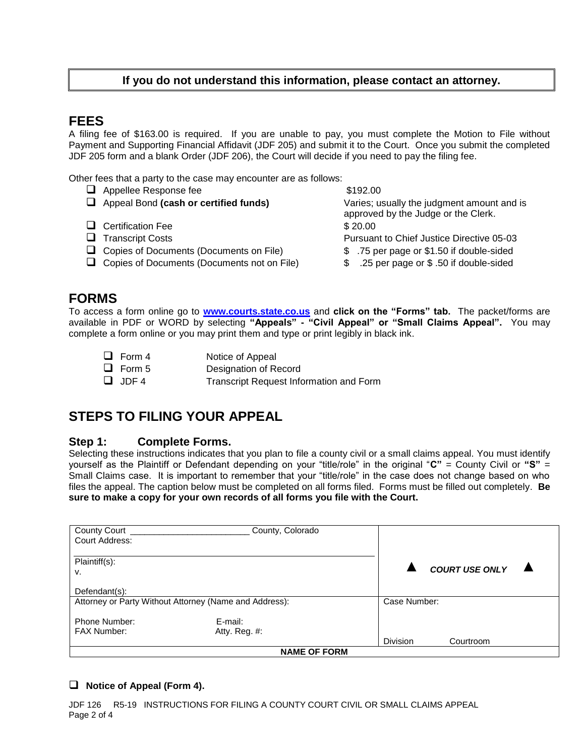### **If you do not understand this information, please contact an attorney.**

## **FEES**

A filing fee of \$163.00 is required. If you are unable to pay, you must complete the Motion to File without Payment and Supporting Financial Affidavit (JDF 205) and submit it to the Court. Once you submit the completed JDF 205 form and a blank Order (JDF 206), the Court will decide if you need to pay the filing fee.

Other fees that a party to the case may encounter are as follows:

❑ Appellee Response fee \$192.00 ❑ Appeal Bond **(cash or certified funds)** Varies; usually the judgment amount and is approved by the Judge or the Clerk. □ Certification Fee \$ 20.00 ❑ Transcript Costs Pursuant to Chief Justice Directive 05-03 ❑ Copies of Documents (Documents on File) \$ .75 per page or \$1.50 if double-sided ❑ Copies of Documents (Documents not on File) \$ .25 per page or \$ .50 if double-sided

## **FORMS**

To access a form online go to **[www.courts.state.co.us](http://www.courts.state.co.us/)** and **click on the "Forms" tab.** The packet/forms are available in PDF or WORD by selecting **"Appeals" - "Civil Appeal" or "Small Claims Appeal".** You may complete a form online or you may print them and type or print legibly in black ink.

□ Form 4 Notice of Appeal □ Form 5 Designation of Record ❑ JDF 4 Transcript Request Information and Form

# **STEPS TO FILING YOUR APPEAL**

#### **Step 1: Complete Forms.**

Selecting these instructions indicates that you plan to file a county civil or a small claims appeal. You must identify yourself as the Plaintiff or Defendant depending on your "title/role" in the original "**C"** = County Civil or **"S"** = Small Claims case. It is important to remember that your "title/role" in the case does not change based on who files the appeal. The caption below must be completed on all forms filed. Forms must be filled out completely. **Be sure to make a copy for your own records of all forms you file with the Court.**

| <b>County Court</b>                                    | County, Colorado |                 |                       |  |  |
|--------------------------------------------------------|------------------|-----------------|-----------------------|--|--|
| Court Address:                                         |                  |                 |                       |  |  |
|                                                        |                  |                 |                       |  |  |
| Plaintiff(s):                                          |                  |                 |                       |  |  |
| V.                                                     |                  |                 | <b>COURT USE ONLY</b> |  |  |
|                                                        |                  |                 |                       |  |  |
| Defendant(s):                                          |                  |                 |                       |  |  |
| Attorney or Party Without Attorney (Name and Address): |                  |                 | Case Number:          |  |  |
|                                                        |                  |                 |                       |  |  |
| Phone Number:                                          | E-mail:          |                 |                       |  |  |
| <b>FAX Number:</b>                                     | Atty. Reg. #:    |                 |                       |  |  |
|                                                        |                  | <b>Division</b> | Courtroom             |  |  |
| <b>NAME OF FORM</b>                                    |                  |                 |                       |  |  |

#### ❑ **Notice of Appeal (Form 4).**

JDF 126 R5-19 INSTRUCTIONS FOR FILING A COUNTY COURT CIVIL OR SMALL CLAIMS APPEAL Page 2 of 4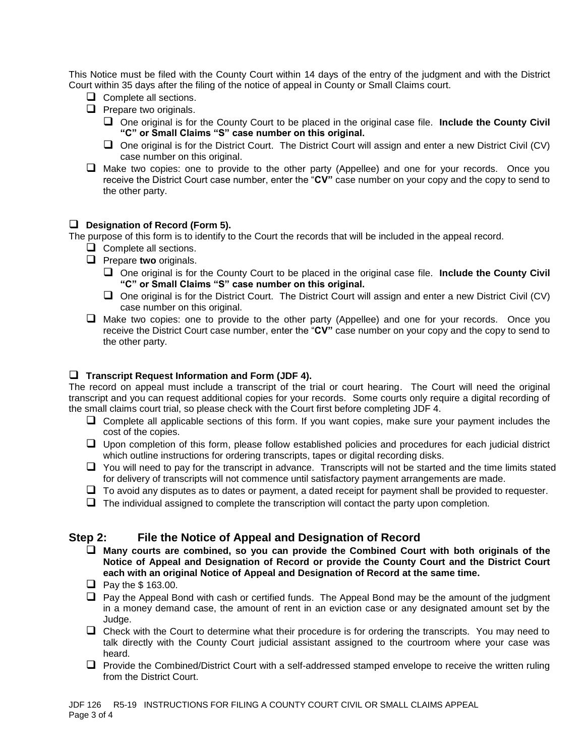This Notice must be filed with the County Court within 14 days of the entry of the judgment and with the District Court within 35 days after the filing of the notice of appeal in County or Small Claims court.

- ❑ Complete all sections.
- ❑ Prepare two originals.
	- ❑ One original is for the County Court to be placed in the original case file. **Include the County Civil "C" or Small Claims "S" case number on this original.**
	- ❑ One original is for the District Court. The District Court will assign and enter a new District Civil (CV) case number on this original.
- ❑ Make two copies: one to provide to the other party (Appellee) and one for your records. Once you receive the District Court case number, enter the "**CV"** case number on your copy and the copy to send to the other party.

#### ❑ **Designation of Record (Form 5).**

The purpose of this form is to identify to the Court the records that will be included in the appeal record.

- ❑ Complete all sections.
- ❑ Prepare **two** originals.
	- ❑ One original is for the County Court to be placed in the original case file. **Include the County Civil "C" or Small Claims "S" case number on this original.**
	- ❑ One original is for the District Court. The District Court will assign and enter a new District Civil (CV) case number on this original.
- ❑ Make two copies: one to provide to the other party (Appellee) and one for your records. Once you receive the District Court case number, enter the "**CV"** case number on your copy and the copy to send to the other party.

#### ❑ **Transcript Request Information and Form (JDF 4).**

The record on appeal must include a transcript of the trial or court hearing. The Court will need the original transcript and you can request additional copies for your records. Some courts only require a digital recording of the small claims court trial, so please check with the Court first before completing JDF 4.

- ❑ Complete all applicable sections of this form. If you want copies, make sure your payment includes the cost of the copies.
- ❑ Upon completion of this form, please follow established policies and procedures for each judicial district which outline instructions for ordering transcripts, tapes or digital recording disks.
- ❑ You will need to pay for the transcript in advance. Transcripts will not be started and the time limits stated for delivery of transcripts will not commence until satisfactory payment arrangements are made.
- $\Box$  To avoid any disputes as to dates or payment, a dated receipt for payment shall be provided to requester.
- $\Box$  The individual assigned to complete the transcription will contact the party upon completion.

### **Step 2: File the Notice of Appeal and Designation of Record**

- ❑ **Many courts are combined, so you can provide the Combined Court with both originals of the Notice of Appeal and Designation of Record or provide the County Court and the District Court each with an original Notice of Appeal and Designation of Record at the same time.**
- ❑ Pay the \$ 163.00.
- □ Pay the Appeal Bond with cash or certified funds. The Appeal Bond may be the amount of the judgment in a money demand case, the amount of rent in an eviction case or any designated amount set by the Judge.
- ❑ Check with the Court to determine what their procedure is for ordering the transcripts. You may need to talk directly with the County Court judicial assistant assigned to the courtroom where your case was heard.
- ❑ Provide the Combined/District Court with a self-addressed stamped envelope to receive the written ruling from the District Court.